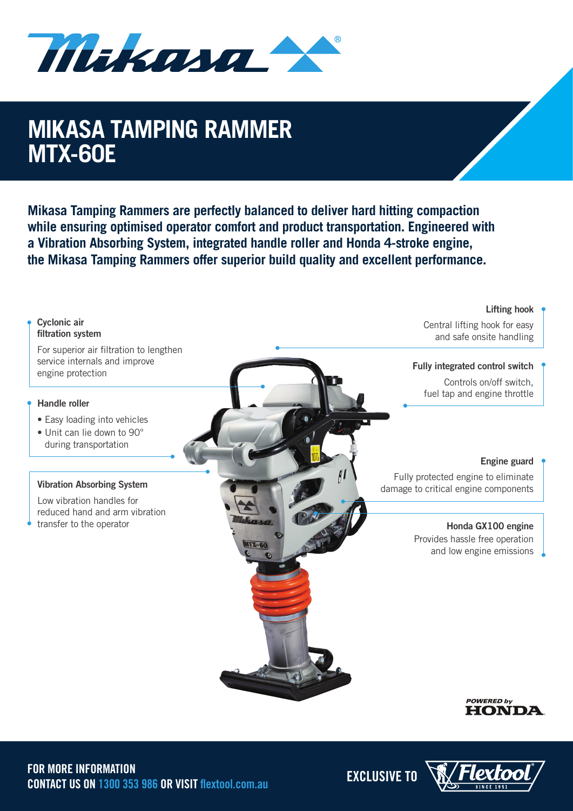Mikana

## **MIKASA TAMPING RAMM MIKASA TAMPING RAMMER MTX-60E**

**Mikasa Tamping Rammers are perfectly balanced to deliver hard hitting compaction while ensuring optimised operator comfort and product transportation. Engineered with a Vibration Absorbing System, integrated handle roller and Honda 4-stroke engine, the Mikasa Tamping Rammers offer superior build quality and excellent performance.**

### **Lifting hook Cyclonic air**  Central lifting hook for easy **filtration system** and safe onsite handling For superior air filtration to lengthen service internals and improve **Fully integrated control switch** engine protection Controls on/off switch, fuel tap and engine throttle **Handle roller**  • Easy loading into vehicles • Unit can lie down to 90° during transportation **Engine guard** Fully protected engine to eliminate **Vibration Absorbing System** damage to critical engine components Low vibration handles for reduced hand and arm vibration transfer to the operator **Honda GX100 engine** Provides hassle free operation  $11 - 60$ and low engine emissions **POWERED by HONDA**